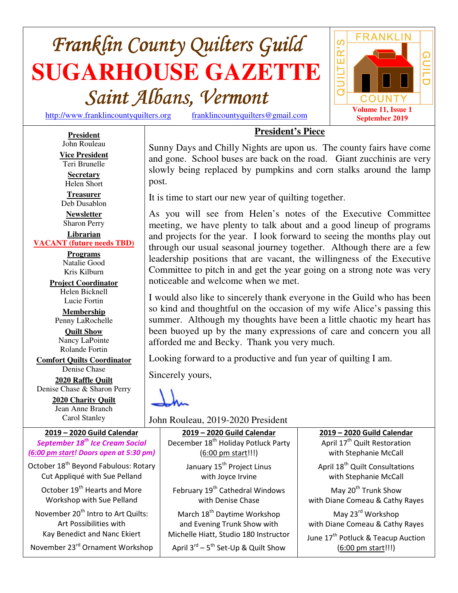# **Franklin County Quilters Guild SUGARHOUSE GAZETTE**  $Saint$  *Albans, Vermont*

http://www.franklincountyquilters.org franklincountyquilters@gmail.com

**President**

**Vice President**  Teri Brunelle **Secretary**  Helen Short **Treasurer**  Deb Dusablon **Newsletter**  Sharon Perry **Librarian VACANT (future needs TBD) Programs** Natalie Good Kris Kilburn **Project Coordinator** Helen Bicknell Lucie Fortin **Membership**  Penny LaRochelle **Quilt Show** Nancy LaPointe Rolande Fortin **Comfort Quilts Coordinator** Denise Chase **2020 Raffle Quilt** Denise Chase & Sharon Perry **2020 Charity Quilt**  Jean Anne Branch Carol Stanley



# John Rouleau

**President's Piece**

Sunny Days and Chilly Nights are upon us. The county fairs have come and gone. School buses are back on the road. Giant zucchinis are very slowly being replaced by pumpkins and corn stalks around the lamp post.

It is time to start our new year of quilting together.

As you will see from Helen's notes of the Executive Committee meeting, we have plenty to talk about and a good lineup of programs and projects for the year. I look forward to seeing the months play out through our usual seasonal journey together. Although there are a few leadership positions that are vacant, the willingness of the Executive Committee to pitch in and get the year going on a strong note was very noticeable and welcome when we met.

I would also like to sincerely thank everyone in the Guild who has been so kind and thoughtful on the occasion of my wife Alice's passing this summer. Although my thoughts have been a little chaotic my heart has been buoyed up by the many expressions of care and concern you all afforded me and Becky. Thank you very much.

Looking forward to a productive and fun year of quilting I am.

Sincerely yours,

John Rouleau, 2019-2020 President

**2019 – 2020 Guild Calendar** *September 18th Ice Cream Social (6:00 pm start! Doors open at 5:30 pm)* October 18<sup>th</sup> Beyond Fabulous: Rotary Cut Appliqué with Sue Pelland October 19<sup>th</sup> Hearts and More

Workshop with Sue Pelland

November 20<sup>th</sup> Intro to Art Quilts: Art Possibilities with Kay Benedict and Nanc Ekiert

November 23rd Ornament Workshop

**2019 – 2020 Guild Calendar** December 18<sup>th</sup> Holiday Potluck Party

(6:00 pm start!!!) January 15<sup>th</sup> Project Linus with Joyce Irvine February 19<sup>th</sup> Cathedral Windows with Denise Chase March 18<sup>th</sup> Daytime Workshop

and Evening Trunk Show with Michelle Hiatt, Studio 180 Instructor

April  $3^{rd}$  –  $5^{th}$  Set-Up & Quilt Show

**2019 – 2020 Guild Calendar** April 17<sup>th</sup> Quilt Restoration with Stephanie McCall

April 18<sup>th</sup> Quilt Consultations with Stephanie McCall

May 20<sup>th</sup> Trunk Show with Diane Comeau & Cathy Rayes

May 23rd Workshop with Diane Comeau & Cathy Rayes

June 17<sup>th</sup> Potluck & Teacup Auction (6:00 pm start!!!)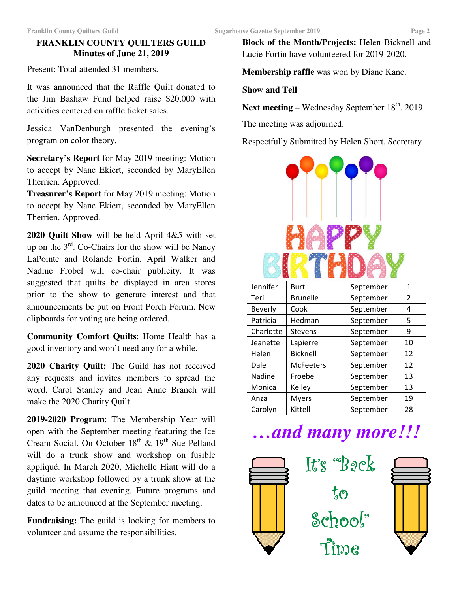## **FRANKLIN COUNTY QUILTERS GUILD Minutes of June 21, 2019**

Present: Total attended 31 members.

It was announced that the Raffle Quilt donated to the Jim Bashaw Fund helped raise \$20,000 with activities centered on raffle ticket sales.

Jessica VanDenburgh presented the evening's program on color theory.

**Secretary's Report** for May 2019 meeting: Motion to accept by Nanc Ekiert, seconded by MaryEllen Therrien. Approved.

**Treasurer's Report** for May 2019 meeting: Motion to accept by Nanc Ekiert, seconded by MaryEllen Therrien. Approved.

**2020 Quilt Show** will be held April 4&5 with set up on the  $3<sup>rd</sup>$ . Co-Chairs for the show will be Nancy LaPointe and Rolande Fortin. April Walker and Nadine Frobel will co-chair publicity. It was suggested that quilts be displayed in area stores prior to the show to generate interest and that announcements be put on Front Porch Forum. New clipboards for voting are being ordered.

**Community Comfort Quilts**: Home Health has a good inventory and won't need any for a while.

**2020 Charity Quilt:** The Guild has not received any requests and invites members to spread the word. Carol Stanley and Jean Anne Branch will make the 2020 Charity Quilt.

**2019-2020 Program**: The Membership Year will open with the September meeting featuring the Ice Cream Social. On October  $18<sup>th</sup>$  &  $19<sup>th</sup>$  Sue Pelland will do a trunk show and workshop on fusible appliqué. In March 2020, Michelle Hiatt will do a daytime workshop followed by a trunk show at the guild meeting that evening. Future programs and dates to be announced at the September meeting.

**Fundraising:** The guild is looking for members to volunteer and assume the responsibilities.

**Block of the Month/Projects:** Helen Bicknell and Lucie Fortin have volunteered for 2019-2020.

**Membership raffle** was won by Diane Kane.

### **Show and Tell**

**Next meeting** – Wednesday September  $18<sup>th</sup>$ , 2019.

The meeting was adjourned.

Respectfully Submitted by Helen Short, Secretary



| Jennifer       | <b>Burt</b>      | September | 1  |
|----------------|------------------|-----------|----|
| Teri           | <b>Brunelle</b>  | September | 2  |
| <b>Beverly</b> | Cook             | September | 4  |
| Patricia       | Hedman           | September | 5  |
| Charlotte      | <b>Stevens</b>   | September | 9  |
| Jeanette       | Lapierre         | September | 10 |
| Helen          | <b>Bicknell</b>  | September | 12 |
| Dale           | <b>McFeeters</b> | September | 12 |
| Nadine         | Froebel          | September | 13 |
| Monica         | Kelley           | September | 13 |
| Anza           | <b>Myers</b>     | September | 19 |
| Carolyn        | Kittell          | September | 28 |

# *…and many more!!!*



It's " $B$ *gck*"  $t_{0}$ School" Time

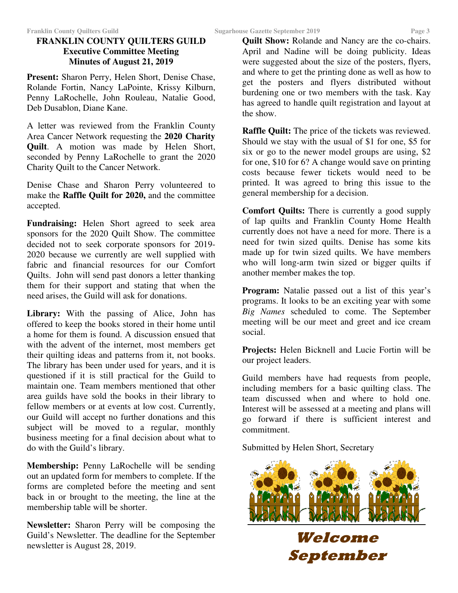# **FRANKLIN COUNTY QUILTERS GUILD Executive Committee Meeting Minutes of August 21, 2019**

**Present:** Sharon Perry, Helen Short, Denise Chase, Rolande Fortin, Nancy LaPointe, Krissy Kilburn, Penny LaRochelle, John Rouleau, Natalie Good, Deb Dusablon, Diane Kane.

A letter was reviewed from the Franklin County Area Cancer Network requesting the **2020 Charity Quilt**. A motion was made by Helen Short, seconded by Penny LaRochelle to grant the 2020 Charity Quilt to the Cancer Network.

Denise Chase and Sharon Perry volunteered to make the **Raffle Quilt for 2020,** and the committee accepted.

**Fundraising:** Helen Short agreed to seek area sponsors for the 2020 Quilt Show. The committee decided not to seek corporate sponsors for 2019- 2020 because we currently are well supplied with fabric and financial resources for our Comfort Quilts. John will send past donors a letter thanking them for their support and stating that when the need arises, the Guild will ask for donations.

**Library:** With the passing of Alice, John has offered to keep the books stored in their home until a home for them is found. A discussion ensued that with the advent of the internet, most members get their quilting ideas and patterns from it, not books. The library has been under used for years, and it is questioned if it is still practical for the Guild to maintain one. Team members mentioned that other area guilds have sold the books in their library to fellow members or at events at low cost. Currently, our Guild will accept no further donations and this subject will be moved to a regular, monthly business meeting for a final decision about what to do with the Guild's library.

**Membership:** Penny LaRochelle will be sending out an updated form for members to complete. If the forms are completed before the meeting and sent back in or brought to the meeting, the line at the membership table will be shorter.

**Newsletter:** Sharon Perry will be composing the Guild's Newsletter. The deadline for the September newsletter is August 28, 2019.

and where to get the printing done as well as how to get the posters and flyers distributed without burdening one or two members with the task. Kay has agreed to handle quilt registration and layout at the show.

**Raffle Quilt:** The price of the tickets was reviewed. Should we stay with the usual of \$1 for one, \$5 for six or go to the newer model groups are using, \$2 for one, \$10 for 6? A change would save on printing costs because fewer tickets would need to be printed. It was agreed to bring this issue to the general membership for a decision.

**Comfort Quilts:** There is currently a good supply of lap quilts and Franklin County Home Health currently does not have a need for more. There is a need for twin sized quilts. Denise has some kits made up for twin sized quilts. We have members who will long-arm twin sized or bigger quilts if another member makes the top.

**Program:** Natalie passed out a list of this year's programs. It looks to be an exciting year with some *Big Names* scheduled to come. The September meeting will be our meet and greet and ice cream social.

**Projects:** Helen Bicknell and Lucie Fortin will be our project leaders.

Guild members have had requests from people, including members for a basic quilting class. The team discussed when and where to hold one. Interest will be assessed at a meeting and plans will go forward if there is sufficient interest and commitment.

Submitted by Helen Short, Secretary



**Welcome** 

**September**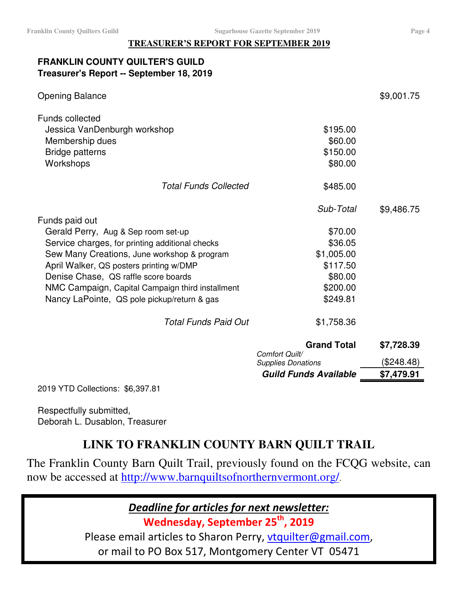#### **TREASURER'S REPORT FOR SEPTEMBER 2019**

# **FRANKLIN COUNTY QUILTER'S GUILD Treasurer's Report -- September 18, 2019**

| <b>Opening Balance</b>                           |                                      | \$9,001.75 |
|--------------------------------------------------|--------------------------------------|------------|
| <b>Funds collected</b>                           |                                      |            |
| Jessica VanDenburgh workshop                     | \$195.00                             |            |
| Membership dues                                  | \$60.00                              |            |
| <b>Bridge patterns</b>                           | \$150.00                             |            |
| Workshops                                        | \$80.00                              |            |
| <b>Total Funds Collected</b>                     | \$485.00                             |            |
|                                                  | Sub-Total                            | \$9,486.75 |
| Funds paid out                                   |                                      |            |
| Gerald Perry, Aug & Sep room set-up              | \$70.00                              |            |
| Service charges, for printing additional checks  | \$36.05                              |            |
| Sew Many Creations, June workshop & program      | \$1,005.00                           |            |
| April Walker, QS posters printing w/DMP          | \$117.50                             |            |
| Denise Chase, QS raffle score boards             | \$80.00                              |            |
| NMC Campaign, Capital Campaign third installment | \$200.00                             |            |
| Nancy LaPointe, QS pole pickup/return & gas      | \$249.81                             |            |
| Total Funds Paid Out                             | \$1,758.36                           |            |
|                                                  | <b>Grand Total</b><br>Comfort Quilt/ | \$7,728.39 |
|                                                  | <b>Supplies Donations</b>            | (\$248.48) |
|                                                  | <b>Guild Funds Available</b>         | \$7,479.91 |

2019 YTD Collections: \$6,397.81

Respectfully submitted, Deborah L. Dusablon, Treasurer

# **LINK TO FRANKLIN COUNTY BARN QUILT TRAIL**

The Franklin County Barn Quilt Trail, previously found on the FCQG website, can now be accessed at http://www.barnquiltsofnorthernvermont.org/.

*Deadline for articles for next newsletter:* 

**Wednesday, September 25th, 2019** 

Please email articles to Sharon Perry, vtquilter@gmail.com, or mail to PO Box 517, Montgomery Center VT 05471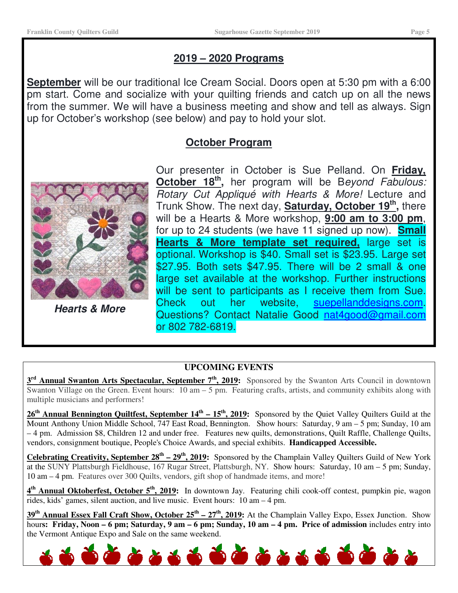# **2019 – 2020 Programs**

**September** will be our traditional Ice Cream Social. Doors open at 5:30 pm with a 6:00 pm start. Come and socialize with your quilting friends and catch up on all the news from the summer. We will have a business meeting and show and tell as always. Sign up for October's workshop (see below) and pay to hold your slot.

# **October Program**



**Hearts & More** 

Our presenter in October is Sue Pelland. On **Friday,**  October 18<sup>th</sup>, her program will be Beyond Fabulous: Rotary Cut Appliqué with Hearts & More! Lecture and Trunk Show. The next day, **Saturday, October 19th ,** there will be a Hearts & More workshop, **9:00 am to 3:00 pm**, for up to 24 students (we have 11 signed up now). **Small Hearts & More template set required,** large set is optional. Workshop is \$40. Small set is \$23.95. Large set \$27.95. Both sets \$47.95. There will be 2 small & one large set available at the workshop. Further instructions will be sent to participants as I receive them from Sue. Check out her website, suepellanddesigns.com. Questions? Contact Natalie Good nat4good@gmail.com or 802 782-6819.

## **UPCOMING EVENTS**

**3 rd Annual Swanton Arts Spectacular, September 7th, 2019:** Sponsored by the Swanton Arts Council in downtown Swanton Village on the Green. Event hours:  $\overline{10 \text{ am} - 5 \text{ pm}}$ . Featuring crafts, artists, and community exhibits along with multiple musicians and performers!

**26th Annual Bennington Quiltfest, September 14th – 15th, 2019:** Sponsored by the Quiet Valley Quilters Guild at the Mount Anthony Union Middle School, 747 East Road, Bennington. Show hours: Saturday, 9 am – 5 pm; Sunday, 10 am – 4 pm. Admission \$8, Children 12 and under free. Features new quilts, demonstrations, Quilt Raffle, Challenge Quilts, vendors, consignment boutique, People's Choice Awards, and special exhibits. **Handicapped Accessible.**

**Celebrating Creativity, September 28<sup>th</sup> – 29<sup>th</sup>, 2019:** Sponsored by the Champlain Valley Quilters Guild of New York at the SUNY Plattsburgh Fieldhouse, 167 Rugar Street, Plattsburgh, NY. Show hours: Saturday, 10 am – 5 pm; Sunday, 10 am – 4 pm. Features over 300 Quilts, vendors, gift shop of handmade items, and more!

**4 th Annual Oktoberfest, October 5th, 2019:** In downtown Jay. Featuring chili cook-off contest, pumpkin pie, wagon rides, kids' games, silent auction, and live music. Event hours: 10 am – 4 pm.

**39th Annual Essex Fall Craft Show, October 25th – 27th, 2019:** At the Champlain Valley Expo, Essex Junction. Show hour**s: Friday, Noon – 6 pm; Saturday, 9 am – 6 pm; Sunday, 10 am – 4 pm. Price of admission** includes entry into the Vermont Antique Expo and Sale on the same weekend.